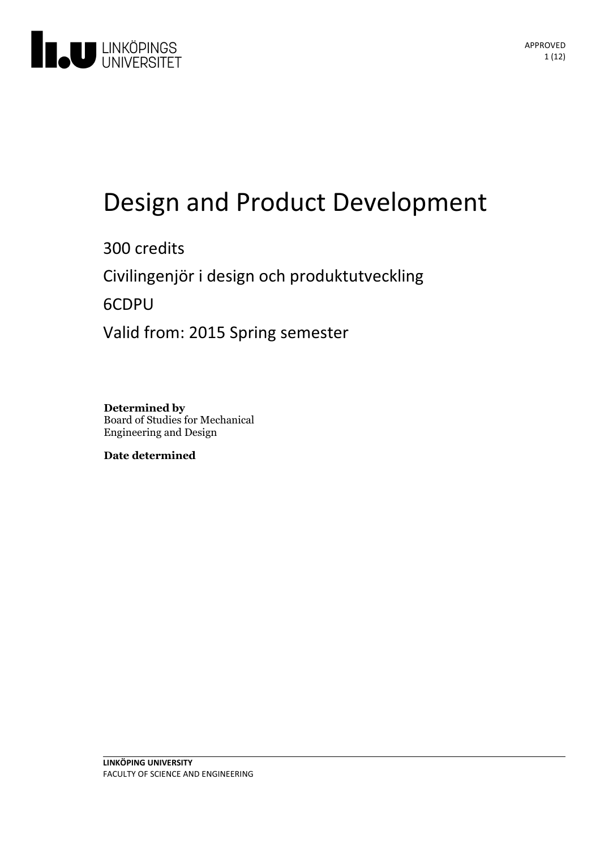

# Design and Product Development

300 credits Civilingenjör i design och produktutveckling 6CDPU Valid from: 2015 Spring semester

**Determined by** Board of Studies for Mechanical Engineering and Design

**Date determined**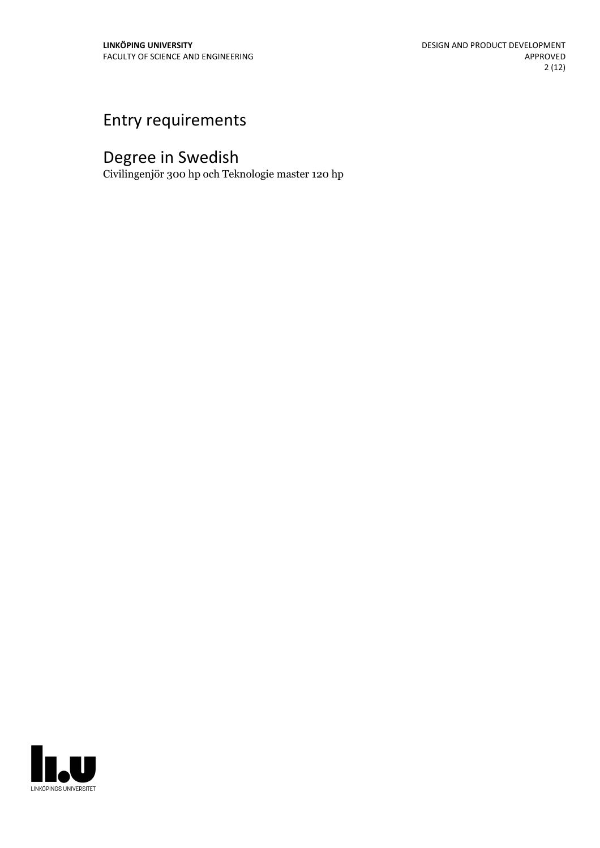# Entry requirements

# Degree in Swedish

Civilingenjör 300 hp och Teknologie master 120 hp

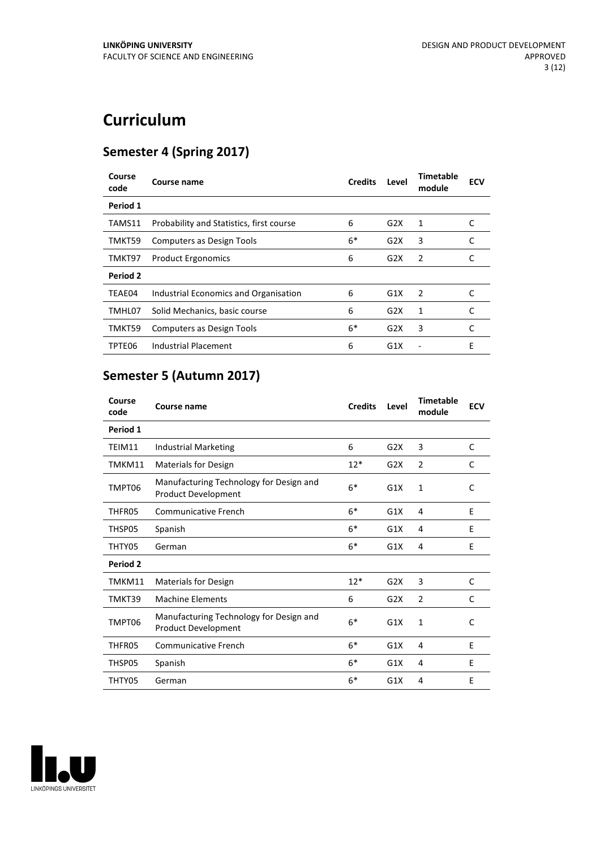# **Curriculum**

## **Semester 4 (Spring 2017)**

| Course<br>code | Course name                              | <b>Credits</b> | Level | <b>Timetable</b><br>module | <b>ECV</b> |
|----------------|------------------------------------------|----------------|-------|----------------------------|------------|
| Period 1       |                                          |                |       |                            |            |
| TAMS11         | Probability and Statistics, first course | 6              | G2X   | 1                          | C          |
| TMKT59         | <b>Computers as Design Tools</b>         | $6*$           | G2X   | 3                          | C          |
| TMKT97         | <b>Product Ergonomics</b>                | 6              | G2X   | $\overline{2}$             |            |
| Period 2       |                                          |                |       |                            |            |
| TEAE04         | Industrial Economics and Organisation    | 6              | G1X   | $\overline{2}$             |            |
| TMHL07         | Solid Mechanics, basic course            | 6              | G2X   | 1                          |            |
| TMKT59         | Computers as Design Tools                | $6*$           | G2X   | 3                          | C          |
| TPTE06         | Industrial Placement                     | 6              | G1X   |                            | Е          |

# **Semester 5 (Autumn 2017)**

| Course<br>code | Course name                                                           | <b>Credits</b> | Level | <b>Timetable</b><br>module | <b>ECV</b> |
|----------------|-----------------------------------------------------------------------|----------------|-------|----------------------------|------------|
| Period 1       |                                                                       |                |       |                            |            |
| TEIM11         | <b>Industrial Marketing</b>                                           | 6              | G2X   | 3                          | C          |
| TMKM11         | <b>Materials for Design</b>                                           | $12*$          | G2X   | 2                          | C          |
| TMPT06         | Manufacturing Technology for Design and<br><b>Product Development</b> | $6*$           | G1X   | 1                          | C          |
| THFR05         | <b>Communicative French</b>                                           | $6*$           | G1X   | 4                          | E          |
| THSP05         | Spanish                                                               | $6*$           | G1X   | 4                          | E          |
| THTY05         | German                                                                | $6*$           | G1X   | 4                          | E          |
| Period 2       |                                                                       |                |       |                            |            |
| TMKM11         | Materials for Design                                                  | $12*$          | G2X   | 3                          | C          |
| TMKT39         | <b>Machine Elements</b>                                               | 6              | G2X   | $\overline{2}$             | C          |
| TMPT06         | Manufacturing Technology for Design and<br>Product Development        | $6*$           | G1X   | 1                          | C          |
| THFR05         | <b>Communicative French</b>                                           | $6*$           | G1X   | 4                          | E          |
| THSP05         | Spanish                                                               | $6*$           | G1X   | 4                          | E          |
| THTY05         | German                                                                | $6*$           | G1X   | 4                          | E          |

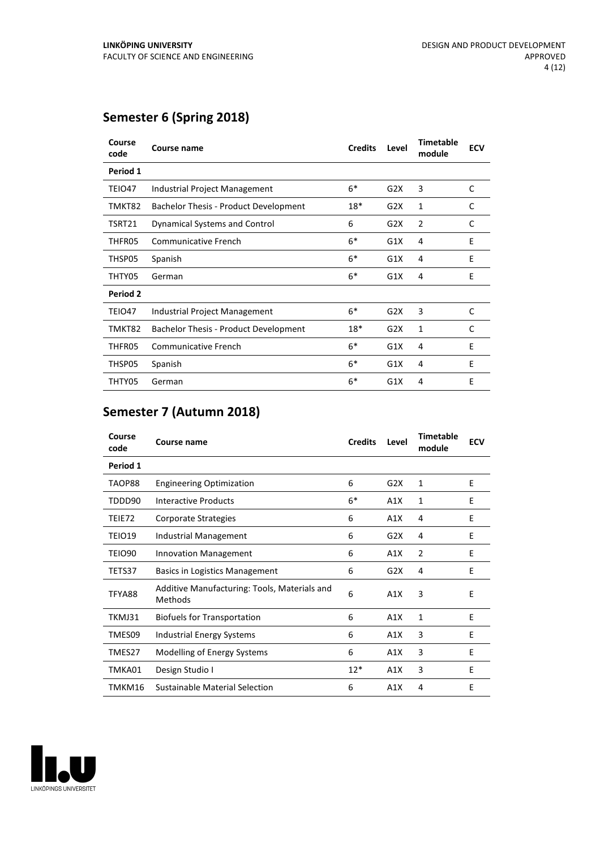## **Semester 6 (Spring 2018)**

| Course<br>code | Course name                                  | <b>Credits</b> | Level | <b>Timetable</b><br>module | <b>ECV</b> |
|----------------|----------------------------------------------|----------------|-------|----------------------------|------------|
| Period 1       |                                              |                |       |                            |            |
| TEIO47         | Industrial Project Management                | $6*$           | G2X   | 3                          | C          |
| TMKT82         | <b>Bachelor Thesis - Product Development</b> | $18*$          | G2X   | 1                          | C          |
| TSRT21         | Dynamical Systems and Control                | 6              | G2X   | 2                          | C          |
| THFR05         | <b>Communicative French</b>                  | $6*$           | G1X   | 4                          | E          |
| THSP05         | Spanish                                      | $6*$           | G1X   | 4                          | E          |
| THTY05         | German                                       | $6*$           | G1X   | 4                          | E          |
| Period 2       |                                              |                |       |                            |            |
| TEIO47         | Industrial Project Management                | $6*$           | G2X   | 3                          | C          |
| TMKT82         | <b>Bachelor Thesis - Product Development</b> | $18*$          | G2X   | $\mathbf{1}$               | C          |
| THFR05         | Communicative French                         | $6*$           | G1X   | 4                          | E          |
| THSP05         | Spanish                                      | $6*$           | G1X   | 4                          | E          |
| THTY05         | German                                       | $6*$           | G1X   | 4                          | E          |

### **Semester 7 (Autumn 2018)**

| Course<br>code | Course name                                             | <b>Credits</b> | Level | <b>Timetable</b><br>module | <b>ECV</b> |
|----------------|---------------------------------------------------------|----------------|-------|----------------------------|------------|
| Period 1       |                                                         |                |       |                            |            |
| TAOP88         | <b>Engineering Optimization</b>                         | 6              | G2X   | 1                          | E          |
| TDDD90         | Interactive Products                                    | $6*$           | A1X   | 1                          | Ε          |
| TEIE72         | Corporate Strategies                                    | 6              | A1X   | 4                          | E          |
| TEIO19         | <b>Industrial Management</b>                            | 6              | G2X   | 4                          | Ε          |
| TEIO90         | <b>Innovation Management</b>                            | 6              | A1X   | 2                          | Ε          |
| TETS37         | Basics in Logistics Management                          | 6              | G2X   | 4                          | E          |
| TFYA88         | Additive Manufacturing: Tools, Materials and<br>Methods | 6              | A1X   | 3                          | E          |
| TKMJ31         | <b>Biofuels for Transportation</b>                      | 6              | A1X   | $\mathbf{1}$               | E          |
| TMES09         | Industrial Energy Systems                               | 6              | A1X   | 3                          | Ε          |
| TMES27         | Modelling of Energy Systems                             | 6              | A1X   | 3                          | E          |
| TMKA01         | Design Studio I                                         | $12*$          | A1X   | 3                          | Ε          |
| TMKM16         | Sustainable Material Selection                          | 6              | A1X   | 4                          | E          |

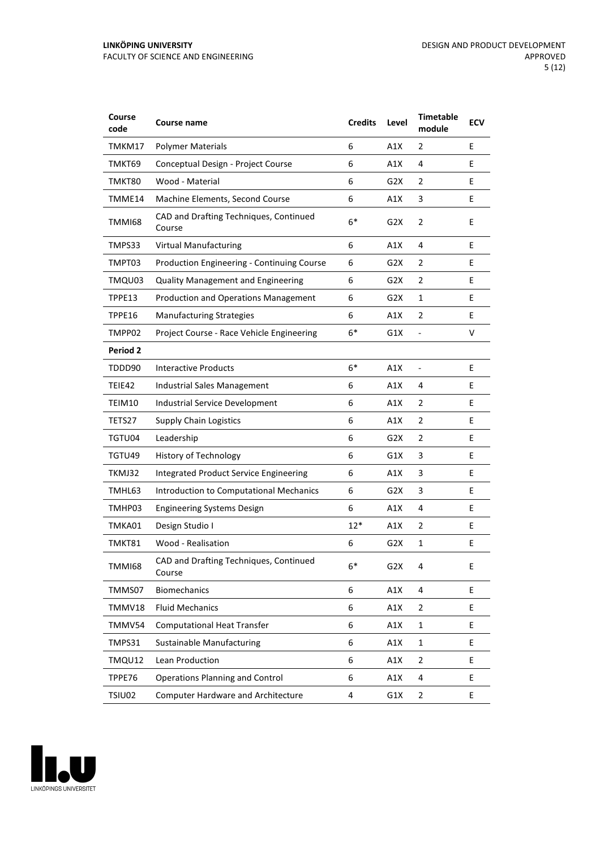| Course<br>code  | Course name                                      | <b>Credits</b> | Level            | <b>Timetable</b><br>module | <b>ECV</b> |
|-----------------|--------------------------------------------------|----------------|------------------|----------------------------|------------|
| TMKM17          | <b>Polymer Materials</b>                         | 6              | A1X              | 2                          | E          |
| TMKT69          | Conceptual Design - Project Course               | 6              | A1X              | 4                          | E          |
| TMKT80          | Wood - Material                                  | 6              | G <sub>2</sub> X | 2                          | E          |
| TMME14          | Machine Elements, Second Course                  | 6              | A1X              | 3                          | E          |
| <b>TMMI68</b>   | CAD and Drafting Techniques, Continued<br>Course | $6*$           | G <sub>2</sub> X | $\overline{2}$             | E          |
| TMPS33          | <b>Virtual Manufacturing</b>                     | 6              | A1X              | 4                          | E          |
| TMPT03          | Production Engineering - Continuing Course       | 6              | G2X              | 2                          | E          |
| TMQU03          | <b>Quality Management and Engineering</b>        | 6              | G2X              | $\overline{2}$             | E          |
| TPPE13          | Production and Operations Management             | 6              | G <sub>2</sub> X | 1                          | E          |
| TPPE16          | <b>Manufacturing Strategies</b>                  | 6              | A1X              | $\overline{2}$             | E          |
| TMPP02          | Project Course - Race Vehicle Engineering        | $6*$           | G1X              | $\frac{1}{2}$              | v          |
| <b>Period 2</b> |                                                  |                |                  |                            |            |
| TDDD90          | <b>Interactive Products</b>                      | $6*$           | A1X              | $\blacksquare$             | E          |
| TEIE42          | Industrial Sales Management                      | 6              | A1X              | 4                          | E          |
| TEIM10          | Industrial Service Development                   | 6              | A1X              | 2                          | E          |
| TETS27          | <b>Supply Chain Logistics</b>                    | 6              | A1X              | $\overline{2}$             | E          |
| TGTU04          | Leadership                                       | 6              | G2X              | 2                          | E          |
| TGTU49          | <b>History of Technology</b>                     | 6              | G1X              | 3                          | E          |
| TKMJ32          | Integrated Product Service Engineering           | 6              | A1X              | 3                          | E          |
| TMHL63          | Introduction to Computational Mechanics          | 6              | G2X              | 3                          | E          |
| TMHP03          | <b>Engineering Systems Design</b>                | 6              | A1X              | 4                          | E          |
| TMKA01          | Design Studio I                                  | 12*            | A1X              | $\overline{2}$             | E          |
| TMKT81          | Wood - Realisation                               | 6              | G <sub>2</sub> X | $\mathbf{1}$               | E          |
| TMMI68          | CAD and Drafting Techniques, Continued<br>Course | 6*             | G2X              | 4                          | E          |
| TMMS07          | <b>Biomechanics</b>                              | 6              | A1X              | 4                          | E          |
| TMMV18          | <b>Fluid Mechanics</b>                           | 6              | A1X              | $\overline{2}$             | E.         |
| TMMV54          | <b>Computational Heat Transfer</b>               | 6              | A1X              | $\mathbf{1}$               | E.         |
| TMPS31          | Sustainable Manufacturing                        | 6              | A1X              | $\mathbf{1}$               | E          |
| TMQU12          | Lean Production                                  | 6              | A1X              | $\overline{2}$             | E.         |
| TPPE76          | <b>Operations Planning and Control</b>           | 6              | A1X              | 4                          | E          |
| TSIU02          | <b>Computer Hardware and Architecture</b>        | 4              | G1X              | $\overline{2}$             | E          |

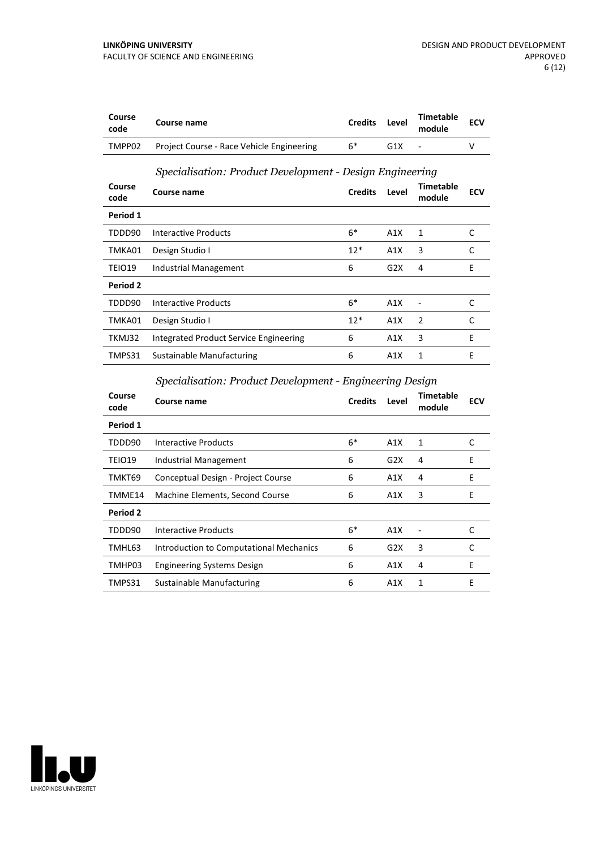| Course<br>code | Course name                                              | <b>Credits</b> | Level | <b>Timetable</b><br>module | <b>ECV</b> |  |  |
|----------------|----------------------------------------------------------|----------------|-------|----------------------------|------------|--|--|
| TMPP02         | Project Course - Race Vehicle Engineering                | $6*$           | G1X   | ٠                          | v          |  |  |
|                | Specialisation: Product Development - Design Engineering |                |       |                            |            |  |  |
| Course<br>code | Course name                                              | <b>Credits</b> | Level | Timetable<br>module        | <b>ECV</b> |  |  |
| Period 1       |                                                          |                |       |                            |            |  |  |
| TDDD90         | Interactive Products                                     | $6*$           | A1X   | 1                          | C          |  |  |
| TMKA01         | Design Studio I                                          | $12*$          | A1X   | 3                          | C          |  |  |
| TEIO19         | Industrial Management                                    | 6              | G2X   | 4                          | E          |  |  |
| Period 2       |                                                          |                |       |                            |            |  |  |
| TDDD90         | <b>Interactive Products</b>                              | $6*$           | A1X   |                            | C          |  |  |
| TMKA01         | Design Studio I                                          | $12*$          | A1X   | 2                          | C          |  |  |
| TKMJ32         | Integrated Product Service Engineering                   | 6              | A1X   | 3                          | E          |  |  |
| TMPS31         | Sustainable Manufacturing                                | 6              | A1X   | 1                          | E          |  |  |

*Specialisation: Product Development - Engineering Design*

| Course<br>code | Course name                             | <b>Credits</b> | Level | <b>Timetable</b><br>module | <b>ECV</b> |
|----------------|-----------------------------------------|----------------|-------|----------------------------|------------|
| Period 1       |                                         |                |       |                            |            |
| TDDD90         | Interactive Products                    | $6*$           | A1X   | 1                          | C          |
| TEIO19         | Industrial Management                   | 6              | G2X   | 4                          | E          |
| TMKT69         | Conceptual Design - Project Course      | 6              | A1X   | 4                          | E          |
| TMME14         | Machine Elements, Second Course         | 6              | A1X   | 3                          | E          |
| Period 2       |                                         |                |       |                            |            |
| TDDD90         | Interactive Products                    | $6*$           | A1X   |                            | C          |
| TMHL63         | Introduction to Computational Mechanics | 6              | G2X   | 3                          | C          |
| TMHP03         | <b>Engineering Systems Design</b>       | 6              | A1X   | 4                          | E          |
| TMPS31         | Sustainable Manufacturing               | 6              | A1X   | 1                          | E          |

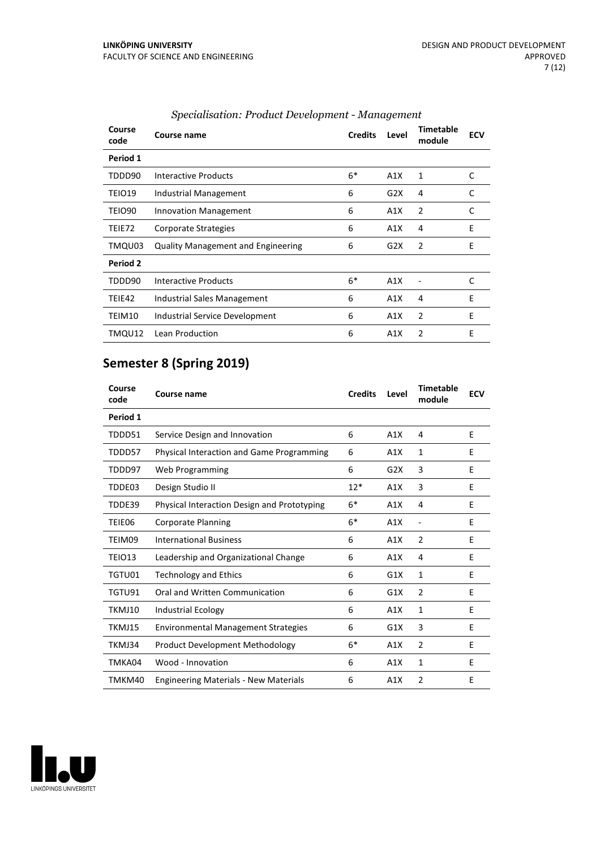| Course<br>code | Course name                               | <b>Credits</b> | Level | <b>Timetable</b><br>module | <b>ECV</b> |
|----------------|-------------------------------------------|----------------|-------|----------------------------|------------|
| Period 1       |                                           |                |       |                            |            |
| TDDD90         | Interactive Products                      | $6*$           | A1X   | 1                          | C          |
| TEIO19         | Industrial Management                     | 6              | G2X   | 4                          | C          |
| TEIO90         | <b>Innovation Management</b>              | 6              | A1X   | 2                          | C          |
| TEIE72         | Corporate Strategies                      | 6              | A1X   | 4                          | E          |
| TMQU03         | <b>Quality Management and Engineering</b> | 6              | G2X   | 2                          | E          |
| Period 2       |                                           |                |       |                            |            |
| TDDD90         | Interactive Products                      | $6*$           | A1X   |                            | C          |
| TEIE42         | Industrial Sales Management               | 6              | A1X   | 4                          | E          |
| TEIM10         | Industrial Service Development            | 6              | A1X   | $\overline{2}$             | E          |
| TMQU12         | Lean Production                           | 6              | A1X   | 2                          | E          |

### *Specialisation: Product Development - Management*

# **Semester 8 (Spring 2019)**

| Course<br>code | Course name                                  | <b>Credits</b> | Level            | <b>Timetable</b><br>module   | <b>ECV</b> |
|----------------|----------------------------------------------|----------------|------------------|------------------------------|------------|
| Period 1       |                                              |                |                  |                              |            |
| TDDD51         | Service Design and Innovation                | 6              | A1X              | 4                            | E          |
| TDDD57         | Physical Interaction and Game Programming    | 6              | A1X              | 1                            | E          |
| TDDD97         | Web Programming                              | 6              | G <sub>2</sub> X | 3                            | F          |
| TDDE03         | Design Studio II                             | $12*$          | A1X              | 3                            | E          |
| TDDE39         | Physical Interaction Design and Prototyping  | $6*$           | A1X              | 4                            | E          |
| TEIE06         | Corporate Planning                           | $6*$           | A1X              | $\qquad \qquad \blacksquare$ | E          |
| TEIM09         | <b>International Business</b>                | 6              | A1X              | $\overline{2}$               | E          |
| TEIO13         | Leadership and Organizational Change         | 6              | A1X              | 4                            | E          |
| TGTU01         | <b>Technology and Ethics</b>                 | 6              | G1X              | 1                            | E          |
| TGTU91         | Oral and Written Communication               | 6              | G1X              | 2                            | E          |
| TKMJ10         | <b>Industrial Ecology</b>                    | 6              | A1X              | 1                            | E          |
| TKMJ15         | <b>Environmental Management Strategies</b>   | 6              | G1X              | 3                            | E          |
| TKMJ34         | <b>Product Development Methodology</b>       | $6*$           | A1X              | 2                            | E          |
| TMKA04         | Wood - Innovation                            | 6              | A1X              | 1                            | E          |
| TMKM40         | <b>Engineering Materials - New Materials</b> | 6              | A1X              | $\overline{2}$               | F          |

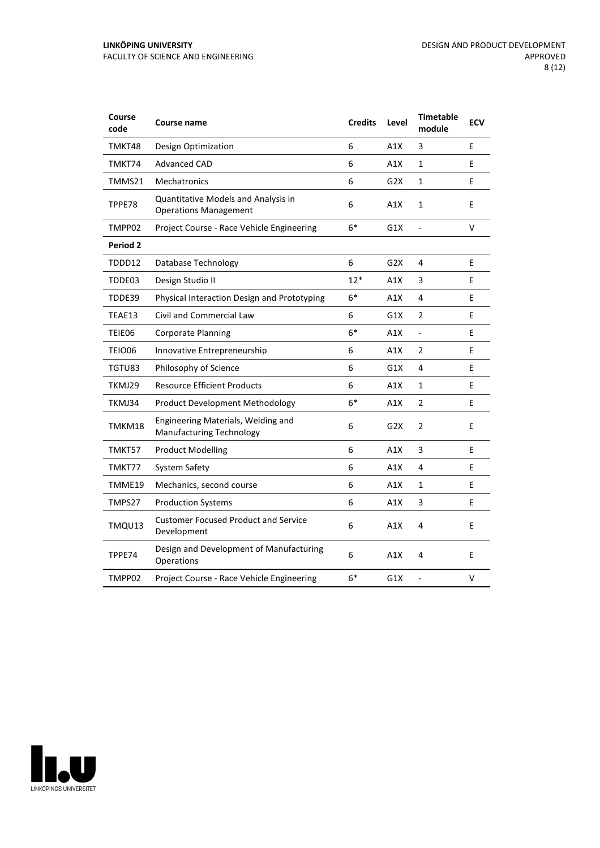| Course<br>code | Course name                                                           | <b>Credits</b> | Level            | <b>Timetable</b><br>module | <b>ECV</b> |
|----------------|-----------------------------------------------------------------------|----------------|------------------|----------------------------|------------|
| TMKT48         | Design Optimization                                                   | 6              | A1X              | 3                          | E          |
| TMKT74         | <b>Advanced CAD</b>                                                   | 6              | A1X              | $\mathbf{1}$               | E          |
| TMMS21         | Mechatronics                                                          | 6              | G <sub>2</sub> X | $\mathbf 1$                | E          |
| TPPE78         | Quantitative Models and Analysis in<br><b>Operations Management</b>   | 6              | A1X              | $\mathbf 1$                | E          |
| TMPP02         | Project Course - Race Vehicle Engineering                             | $6*$           | G1X              | $\frac{1}{2}$              | v          |
| Period 2       |                                                                       |                |                  |                            |            |
| TDDD12         | Database Technology                                                   | 6              | G2X              | 4                          | E          |
| TDDE03         | Design Studio II                                                      | $12*$          | A1X              | 3                          | E          |
| TDDE39         | Physical Interaction Design and Prototyping                           | $6*$           | A1X              | 4                          | E          |
| TEAE13         | <b>Civil and Commercial Law</b>                                       | 6              | G1X              | $\overline{2}$             | E          |
| TEIE06         | <b>Corporate Planning</b>                                             | $6*$           | A1X              | $\blacksquare$             | E          |
| <b>TEIO06</b>  | Innovative Entrepreneurship                                           | 6              | A1X              | $\overline{2}$             | E          |
| TGTU83         | Philosophy of Science                                                 | 6              | G1X              | 4                          | E          |
| TKMJ29         | <b>Resource Efficient Products</b>                                    | 6              | A1X              | 1                          | E          |
| TKMJ34         | <b>Product Development Methodology</b>                                | $6*$           | A1X              | 2                          | E          |
| TMKM18         | Engineering Materials, Welding and<br><b>Manufacturing Technology</b> | 6              | G <sub>2</sub> X | $\overline{2}$             | E          |
| TMKT57         | <b>Product Modelling</b>                                              | 6              | A1X              | 3                          | E          |
| TMKT77         | System Safety                                                         | 6              | A1X              | 4                          | E          |
| TMME19         | Mechanics, second course                                              | 6              | A1X              | $\mathbf{1}$               | E          |
| TMPS27         | <b>Production Systems</b>                                             | 6              | A1X              | 3                          | E          |
| TMQU13         | <b>Customer Focused Product and Service</b><br>Development            | 6              | A1X              | 4                          | E          |
| TPPE74         | Design and Development of Manufacturing<br>Operations                 | 6              | A1X              | 4                          | E          |
| TMPP02         | Project Course - Race Vehicle Engineering                             | $6*$           | G1X              | $\overline{a}$             | v          |

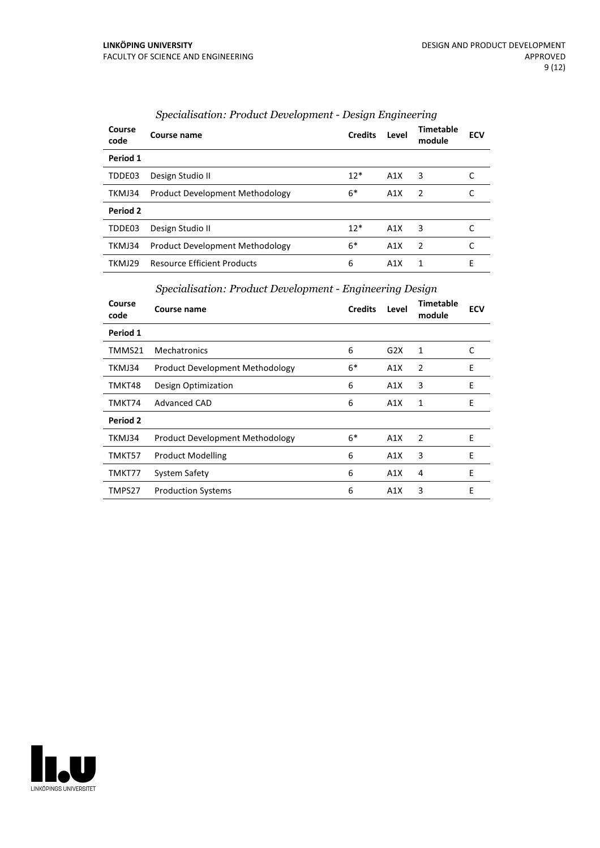| Course<br>code | Course name                            | <b>Credits</b> | Level | Timetable<br>module | <b>ECV</b> |
|----------------|----------------------------------------|----------------|-------|---------------------|------------|
| Period 1       |                                        |                |       |                     |            |
| TDDE03         | Design Studio II                       | $12*$          | A1X   | 3                   |            |
| TKMJ34         | Product Development Methodology        | 6*             | A1X   | 2                   |            |
| Period 2       |                                        |                |       |                     |            |
| TDDE03         | Design Studio II                       | $12*$          | A1X   | 3                   | C          |
| TKMJ34         | <b>Product Development Methodology</b> | $6*$           | A1X   | $\mathcal{P}$       |            |
| TKMJ29         | <b>Resource Efficient Products</b>     | 6              | A1X   | 1                   | E          |

### *Specialisation: Product Development - Design Engineering*

*Specialisation: Product Development - Engineering Design*

| Course<br>code | Course name                            | <b>Credits</b> | Level | Timetable<br>module | <b>ECV</b> |
|----------------|----------------------------------------|----------------|-------|---------------------|------------|
| Period 1       |                                        |                |       |                     |            |
| TMMS21         | Mechatronics                           | 6              | G2X   | 1                   | C          |
| TKMJ34         | <b>Product Development Methodology</b> | $6*$           | A1X   | 2                   | E          |
| TMKT48         | Design Optimization                    | 6              | A1X   | 3                   | E          |
| TMKT74         | <b>Advanced CAD</b>                    | 6              | A1X   | 1                   | E          |
| Period 2       |                                        |                |       |                     |            |
| TKMJ34         | <b>Product Development Methodology</b> | $6*$           | A1X   | 2                   | E          |
| TMKT57         | <b>Product Modelling</b>               | 6              | A1X   | 3                   | E          |
| TMKT77         | System Safety                          | 6              | A1X   | 4                   | E          |
| TMPS27         | <b>Production Systems</b>              | 6              | A1X   | 3                   | E          |

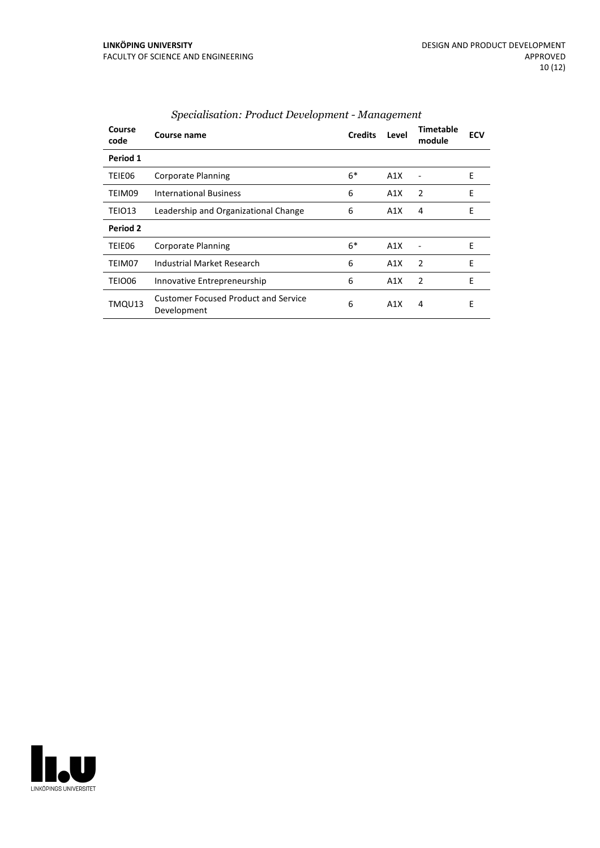| Course<br>code | Course name                                                | <b>Credits</b> | Level | <b>Timetable</b><br>module | <b>ECV</b> |
|----------------|------------------------------------------------------------|----------------|-------|----------------------------|------------|
| Period 1       |                                                            |                |       |                            |            |
| TEIE06         | <b>Corporate Planning</b>                                  | $6*$           | A1X   |                            | Ε          |
| TEIM09         | <b>International Business</b>                              | 6              | A1X   | 2                          | E          |
| TEIO13         | Leadership and Organizational Change                       | 6              | A1X   | 4                          | E          |
| Period 2       |                                                            |                |       |                            |            |
| TEIE06         | <b>Corporate Planning</b>                                  | $6*$           | A1X   |                            | E          |
| TEIM07         | Industrial Market Research                                 | 6              | A1X   | 2                          | E          |
| TEIO06         | Innovative Entrepreneurship                                | 6              | A1X   | 2                          | E          |
| TMQU13         | <b>Customer Focused Product and Service</b><br>Development | 6              | A1X   | 4                          | E          |

### *Specialisation: Product Development - Management*

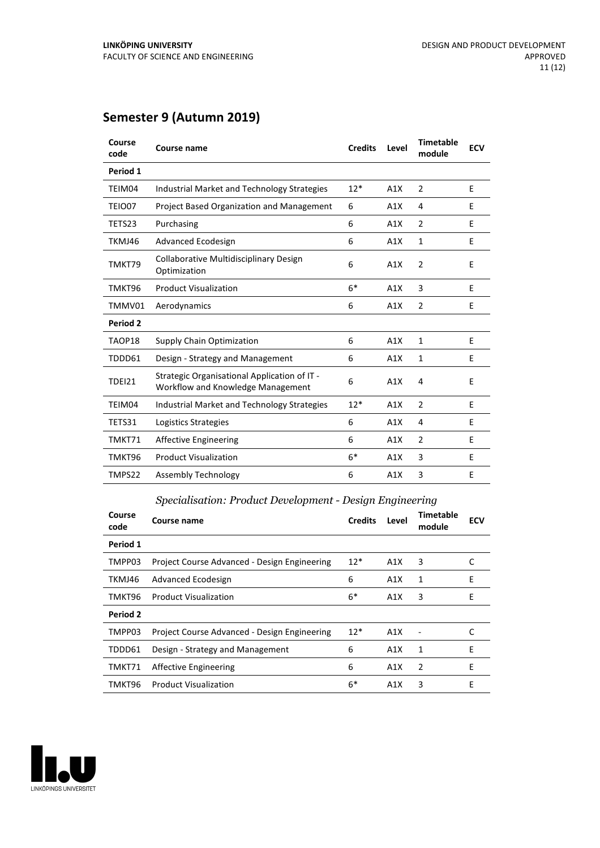## **Semester 9 (Autumn 2019)**

| Course<br>code | Course name                                                                       | <b>Credits</b> | Level | <b>Timetable</b><br>module | <b>ECV</b> |
|----------------|-----------------------------------------------------------------------------------|----------------|-------|----------------------------|------------|
| Period 1       |                                                                                   |                |       |                            |            |
| TEIM04         | Industrial Market and Technology Strategies                                       | $12*$          | A1X   | 2                          | E          |
| TEIO07         | <b>Project Based Organization and Management</b>                                  | 6              | A1X   | 4                          | E          |
| TETS23         | Purchasing                                                                        | 6              | A1X   | 2                          | E          |
| TKMJ46         | Advanced Ecodesign                                                                | 6              | A1X   | 1                          | Ε          |
| TMKT79         | Collaborative Multidisciplinary Design<br>Optimization                            | 6              | A1X   | $\overline{2}$             | E          |
| TMKT96         | <b>Product Visualization</b>                                                      | $6*$           | A1X   | 3                          | E          |
| TMMV01         | Aerodynamics                                                                      | 6              | A1X   | $\overline{2}$             | E          |
| Period 2       |                                                                                   |                |       |                            |            |
| TAOP18         | Supply Chain Optimization                                                         | 6              | A1X   | 1                          | E          |
| TDDD61         | Design - Strategy and Management                                                  | 6              | A1X   | 1                          | Ε          |
| <b>TDEI21</b>  | Strategic Organisational Application of IT -<br>Workflow and Knowledge Management | 6              | A1X   | 4                          | E          |
| TEIM04         | Industrial Market and Technology Strategies                                       | $12*$          | A1X   | 2                          | Ε          |
| TETS31         | Logistics Strategies                                                              | 6              | A1X   | 4                          | E          |
| TMKT71         | <b>Affective Engineering</b>                                                      | 6              | A1X   | $\overline{2}$             | E          |
| TMKT96         | <b>Product Visualization</b>                                                      | $6*$           | A1X   | 3                          | E          |
| TMPS22         | Assembly Technology                                                               | 6              | A1X   | 3                          | E          |
|                |                                                                                   |                |       |                            |            |

#### *Specialisation: Product Development - Design Engineering*

| Course<br>code | Course name                                  | <b>Credits</b> | Level | Timetable<br>module | <b>ECV</b> |
|----------------|----------------------------------------------|----------------|-------|---------------------|------------|
| Period 1       |                                              |                |       |                     |            |
| TMPP03         | Project Course Advanced - Design Engineering | $12*$          | A1X   | 3                   |            |
| TKMJ46         | Advanced Ecodesign                           | 6              | A1X   | 1                   | E          |
| TMKT96         | <b>Product Visualization</b>                 | 6*             | A1X   | 3                   | E          |
| Period 2       |                                              |                |       |                     |            |
| TMPP03         | Project Course Advanced - Design Engineering | $12*$          | A1X   |                     | C          |
| TDDD61         | Design - Strategy and Management             | 6              | A1X   | 1                   | E          |
| TMKT71         | Affective Engineering                        | 6              | A1X   | 2                   | E          |
| TMKT96         | <b>Product Visualization</b>                 | $6*$           | A1X   | 3                   | E          |